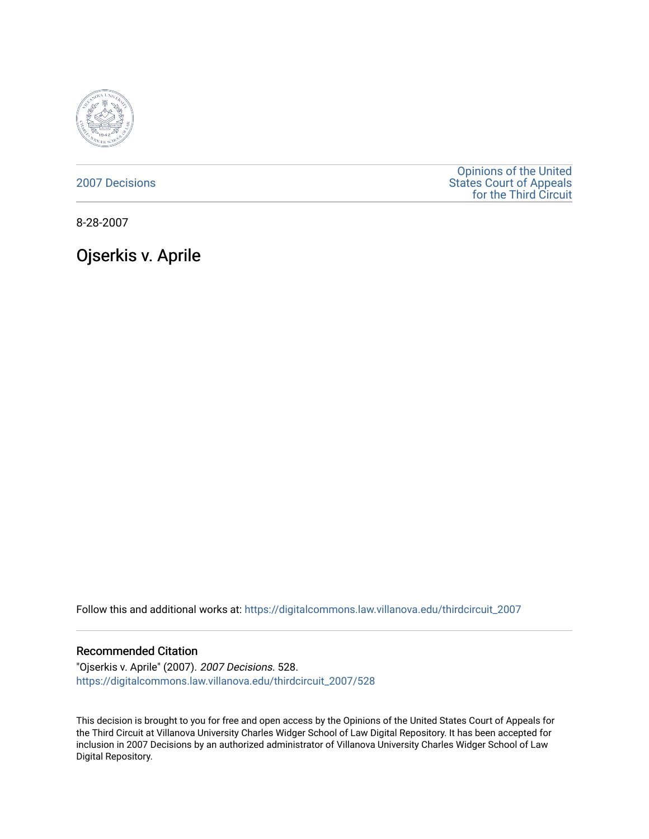

[2007 Decisions](https://digitalcommons.law.villanova.edu/thirdcircuit_2007)

[Opinions of the United](https://digitalcommons.law.villanova.edu/thirdcircuit)  [States Court of Appeals](https://digitalcommons.law.villanova.edu/thirdcircuit)  [for the Third Circuit](https://digitalcommons.law.villanova.edu/thirdcircuit) 

8-28-2007

Ojserkis v. Aprile

Follow this and additional works at: [https://digitalcommons.law.villanova.edu/thirdcircuit\\_2007](https://digitalcommons.law.villanova.edu/thirdcircuit_2007?utm_source=digitalcommons.law.villanova.edu%2Fthirdcircuit_2007%2F528&utm_medium=PDF&utm_campaign=PDFCoverPages) 

### Recommended Citation

"Ojserkis v. Aprile" (2007). 2007 Decisions. 528. [https://digitalcommons.law.villanova.edu/thirdcircuit\\_2007/528](https://digitalcommons.law.villanova.edu/thirdcircuit_2007/528?utm_source=digitalcommons.law.villanova.edu%2Fthirdcircuit_2007%2F528&utm_medium=PDF&utm_campaign=PDFCoverPages)

This decision is brought to you for free and open access by the Opinions of the United States Court of Appeals for the Third Circuit at Villanova University Charles Widger School of Law Digital Repository. It has been accepted for inclusion in 2007 Decisions by an authorized administrator of Villanova University Charles Widger School of Law Digital Repository.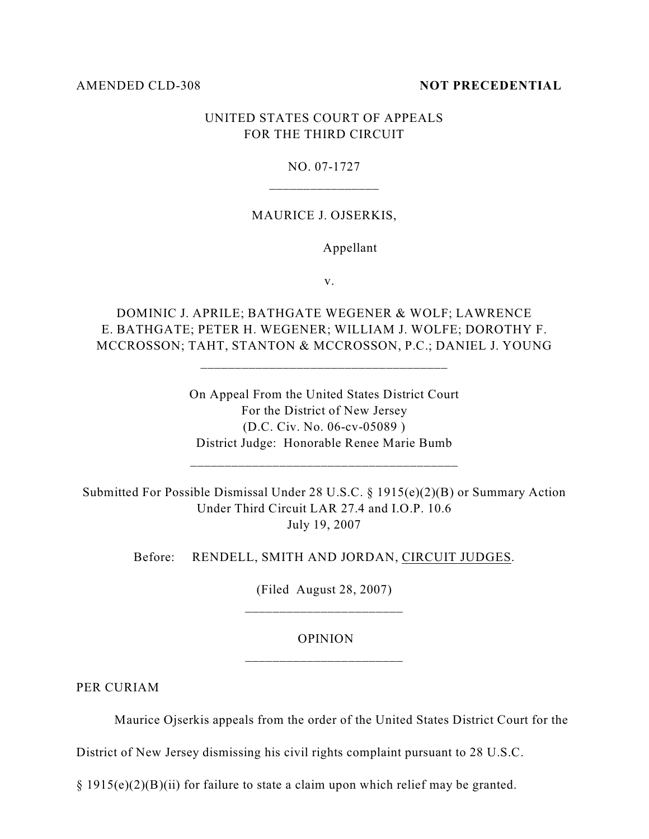#### AMENDED CLD-308 **NOT PRECEDENTIAL**

## UNITED STATES COURT OF APPEALS FOR THE THIRD CIRCUIT

#### NO. 07-1727

### MAURICE J. OJSERKIS,

#### Appellant

v.

DOMINIC J. APRILE; BATHGATE WEGENER & WOLF; LAWRENCE E. BATHGATE; PETER H. WEGENER; WILLIAM J. WOLFE; DOROTHY F. MCCROSSON; TAHT, STANTON & MCCROSSON, P.C.; DANIEL J. YOUNG

\_\_\_\_\_\_\_\_\_\_\_\_\_\_\_\_\_\_\_\_\_\_\_\_\_\_\_\_\_\_\_\_\_\_\_\_

On Appeal From the United States District Court For the District of New Jersey (D.C. Civ. No. 06-cv-05089 ) District Judge: Honorable Renee Marie Bumb

Submitted For Possible Dismissal Under 28 U.S.C. § 1915(e)(2)(B) or Summary Action Under Third Circuit LAR 27.4 and I.O.P. 10.6 July 19, 2007

Before: RENDELL, SMITH AND JORDAN, CIRCUIT JUDGES.

(Filed August 28, 2007) \_\_\_\_\_\_\_\_\_\_\_\_\_\_\_\_\_\_\_\_\_\_\_

# OPINION \_\_\_\_\_\_\_\_\_\_\_\_\_\_\_\_\_\_\_\_\_\_\_

PER CURIAM

Maurice Ojserkis appeals from the order of the United States District Court for the

District of New Jersey dismissing his civil rights complaint pursuant to 28 U.S.C.

§ 1915(e)(2)(B)(ii) for failure to state a claim upon which relief may be granted.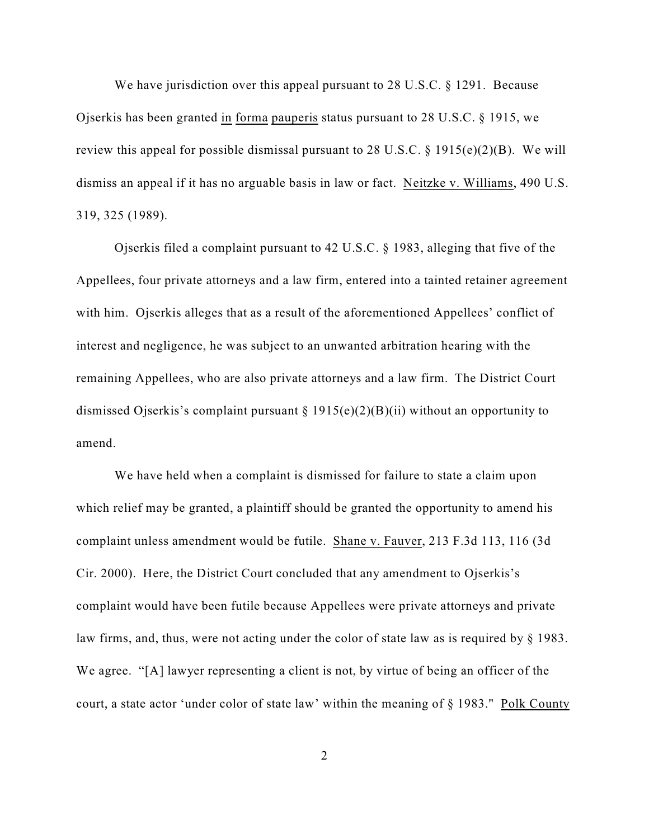We have jurisdiction over this appeal pursuant to 28 U.S.C. § 1291. Because Ojserkis has been granted in forma pauperis status pursuant to 28 U.S.C. § 1915, we review this appeal for possible dismissal pursuant to 28 U.S.C.  $\S$  1915(e)(2)(B). We will dismiss an appeal if it has no arguable basis in law or fact. Neitzke v. Williams, 490 U.S. 319, 325 (1989).

Ojserkis filed a complaint pursuant to 42 U.S.C. § 1983, alleging that five of the Appellees, four private attorneys and a law firm, entered into a tainted retainer agreement with him. Ojserkis alleges that as a result of the aforementioned Appellees' conflict of interest and negligence, he was subject to an unwanted arbitration hearing with the remaining Appellees, who are also private attorneys and a law firm. The District Court dismissed Ojserkis's complaint pursuant § 1915(e)(2)(B)(ii) without an opportunity to amend.

We have held when a complaint is dismissed for failure to state a claim upon which relief may be granted, a plaintiff should be granted the opportunity to amend his complaint unless amendment would be futile. Shane v. Fauver, 213 F.3d 113, 116 (3d Cir. 2000). Here, the District Court concluded that any amendment to Ojserkis's complaint would have been futile because Appellees were private attorneys and private law firms, and, thus, were not acting under the color of state law as is required by § 1983. We agree. "[A] lawyer representing a client is not, by virtue of being an officer of the court, a state actor 'under color of state law' within the meaning of § 1983." Polk County